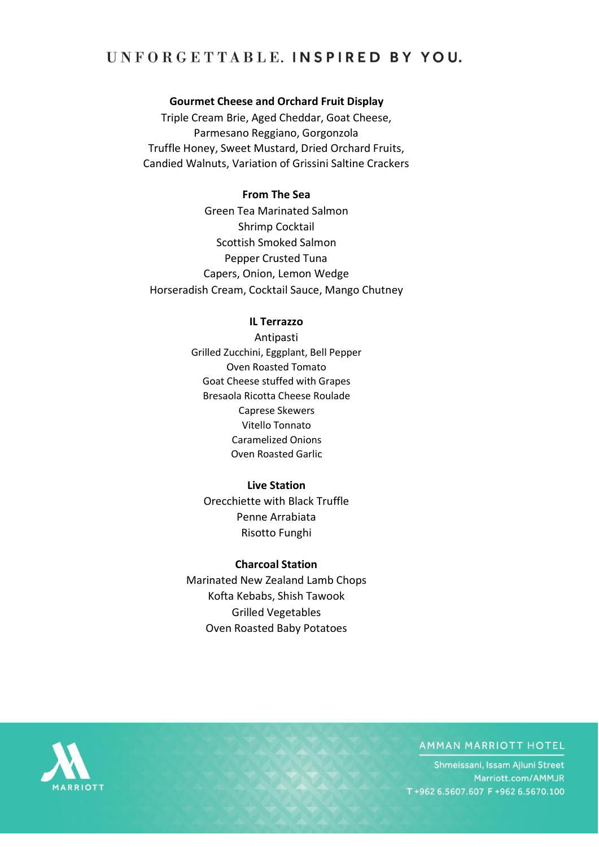# UNFORGETTABLE. INSPIRED BY YOU.

## **Gourmet Cheese and Orchard Fruit Display**

Triple Cream Brie, Aged Cheddar, Goat Cheese, Parmesano Reggiano, Gorgonzola Truffle Honey, Sweet Mustard, Dried Orchard Fruits, Candied Walnuts, Variation of Grissini Saltine Crackers

## **From The Sea**

Green Tea Marinated Salmon Shrimp Cocktail Scottish Smoked Salmon Pepper Crusted Tuna Capers, Onion, Lemon Wedge Horseradish Cream, Cocktail Sauce, Mango Chutney

#### **IL Terrazzo**

Antipasti Grilled Zucchini, Eggplant, Bell Pepper Oven Roasted Tomato Goat Cheese stuffed with Grapes Bresaola Ricotta Cheese Roulade Caprese Skewers Vitello Tonnato Caramelized Onions Oven Roasted Garlic

#### **Live Station**

Orecchiette with Black Truffle Penne Arrabiata Risotto Funghi

#### **Charcoal Station**

Marinated New Zealand Lamb Chops Kofta Kebabs, Shish Tawook Grilled Vegetables Oven Roasted Baby Potatoes



## AMMAN MARRIOTT HOTEL

Shmeissani, Issam Ajluni Street Marriott.com/AMMJR T+962 6.5607.607 F+962 6.5670.100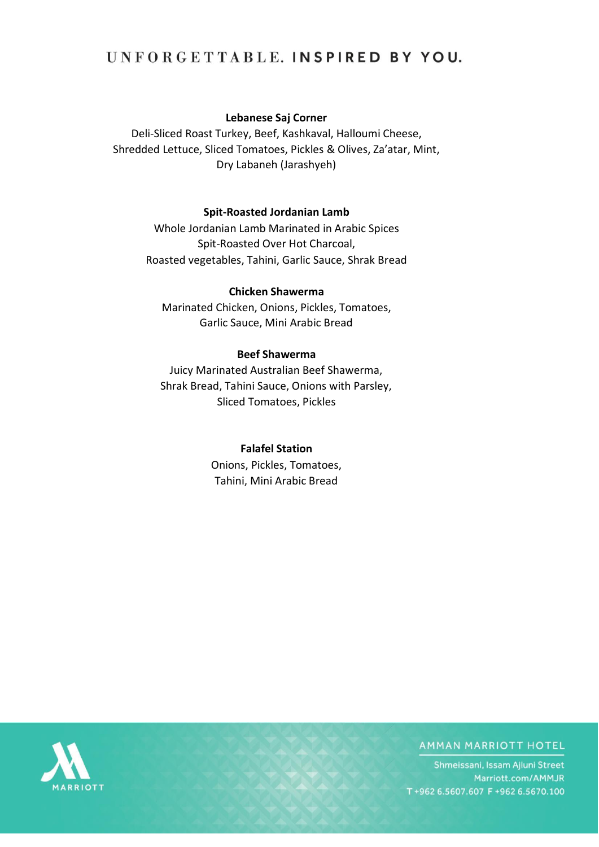# UNFORGETTABLE. INSPIRED BY YOU.

# **Lebanese Saj Corner**

Deli-Sliced Roast Turkey, Beef, Kashkaval, Halloumi Cheese, Shredded Lettuce, Sliced Tomatoes, Pickles & Olives, Za'atar, Mint, Dry Labaneh (Jarashyeh)

## **Spit-Roasted Jordanian Lamb**

Whole Jordanian Lamb Marinated in Arabic Spices Spit-Roasted Over Hot Charcoal, Roasted vegetables, Tahini, Garlic Sauce, Shrak Bread

# **Chicken Shawerma**

Marinated Chicken, Onions, Pickles, Tomatoes, Garlic Sauce, Mini Arabic Bread

#### **Beef Shawerma**

Juicy Marinated Australian Beef Shawerma, Shrak Bread, Tahini Sauce, Onions with Parsley, Sliced Tomatoes, Pickles

### **Falafel Station**

Onions, Pickles, Tomatoes, Tahini, Mini Arabic Bread



# **AMMAN MARRIOTT HOTEL**

Shmeissani, Issam Ajluni Street Marriott.com/AMMJR T+962 6.5607.607 F+962 6.5670.100